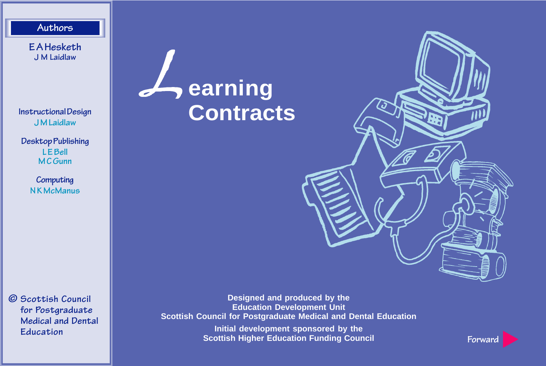<span id="page-0-0"></span>**Authors**

**E A Hesketh J M Laidlaw**

**Instructional Design J M Laidlaw**

**Desktop Publishing L E Bell M C Gunn**

> **Computing N K McManus**

**© Scottish Council for Postgraduate Medical and Dental Education**

## L**earning Contracts**

**Designed and produced by the Education Development Unit Scottish Council for Postgraduate Medical and Dental Education**

> **Initial development sponsored by the Scottish Higher Education Funding Council**



**[Forward](#page-1-0)**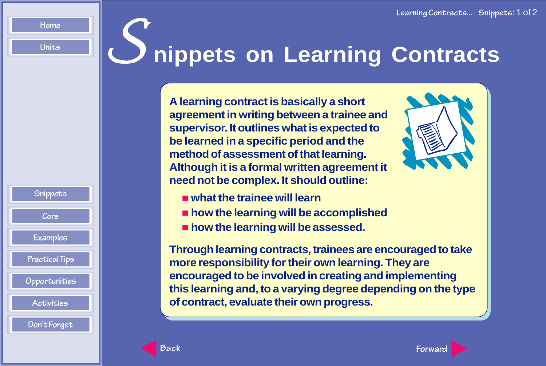**Snippets**

**[Core](#page-3-0) [Examples](#page-12-0) [Practical Tips](#page-13-0)  [Opportunities](#page-16-0) [Activities](#page-20-0) [Don't Forget](#page-22-0)**

## <span id="page-1-0"></span>**[Units](#page-0-0) Source Allengers on Learning Contracts**

**A learning contract is basically a short agreement in writing between a trainee and supervisor. It outlines what is expected to be learned in a specific period and the method of assessment of that learning. Although it is a formal written agreement it need not be complex. It should outline:**



- **what the trainee will learn**
- $\blacksquare$  **how the learning will be accomplished**
- $\blacksquare$  **how the learning will be assessed.**

**Through learning contracts, trainees are encouraged to take more responsibility for their own learning. They are encouraged to be involved in creating and implementing this learning and, to a varying degree depending on the type of contract, evaluate their own progress.**

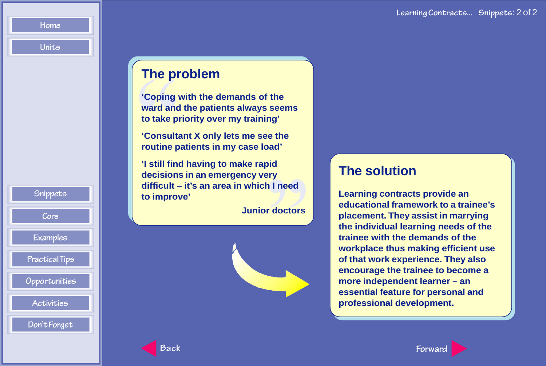<span id="page-2-0"></span>**[Units](#page-0-0)**

### **The problem**

The provided to take provided to take provided to take provided to the provided to the consult of the consult of the consult of the consult of the consult of the consult of the consult of the consult of the consult of the **'Coping with the demands of the ward and the patients always seems to take priority over my training'**

**'Consultant X only lets me see the routine patients in my case load'**

oid<br>ery<br>h I need<br>r doctors **'I still find having to make rapid decisions in an emergency very difficult – it's an area in which I need to improve'**

**Junior doctors**



## **The solution**

**Learning contracts provide an educational framework to a trainee's placement. They assist in marrying the individual learning needs of the trainee with the demands of the workplace thus making efficient use of that work experience. They also encourage the trainee to become a more independent learner – an essential feature for personal and professional development.**

**[Snippets](#page-1-0) [Core](#page-3-0) [Examples](#page-12-0) [Practical Tips](#page-13-0)  [Opportunities](#page-16-0) [Activities](#page-20-0) [Don't Forget](#page-22-0)**

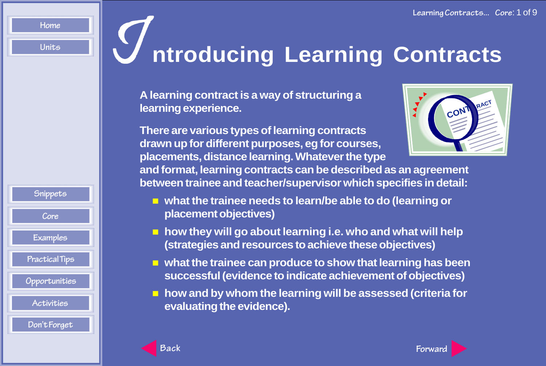**[Snippets](#page-1-0)**

**Core [Examples](#page-12-0) [Practical Tips](#page-13-0)  [Opportunities](#page-16-0) [Activities](#page-20-0) [Don't Forget](#page-22-0)**

# <span id="page-3-0"></span>**[Units](#page-0-0) III Untroducing Learning Contracts**

**A learning contract is a way of structuring a learning experience.**

**There are various types of learning contracts drawn up for different purposes, eg for courses, placements, distance learning. Whatever the type**



**and format, learning contracts can be described as an agreement between trainee and teacher/supervisor which specifies in detail:**

- **what the trainee needs to learn/be able to do (learning or placement objectives)**
- **how they will go about learning i.e. who and what will help (strategies and resources to achieve these objectives)**
- **what the trainee can produce to show that learning has been successful (evidence to indicate achievement of objectives)**
- **how and by whom the learning will be assessed (criteria for evaluating the evidence).**

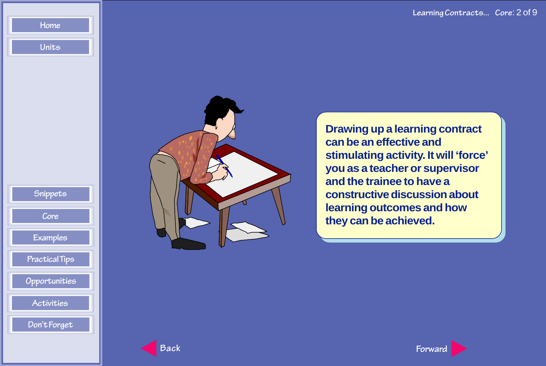

<span id="page-4-0"></span>**[Home](ti_index.htm) [Units](#page-0-0)**



**Drawing up a learning contract can be an effective and stimulating activity. It will 'force' you as a teacher or supervisor and the trainee to have a constructive discussion about learning outcomes and how they can be achieved.**

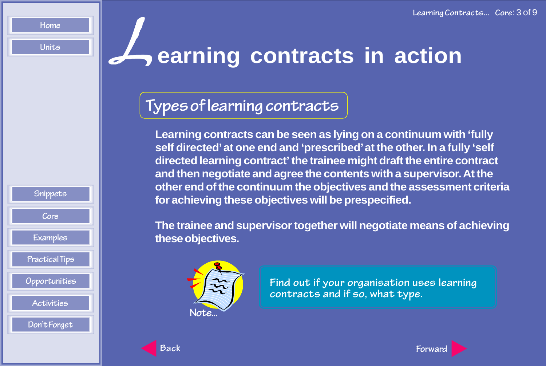<span id="page-5-0"></span>**[Units](#page-0-0)**

## L**earning contracts in action**

## **Types of learning contracts**

**Learning contracts can be seen as lying on a continuum with 'fully self directed' at one end and 'prescribed' at the other. In a fully 'self directed learning contract' the trainee might draft the entire contract and then negotiate and agree the contents with a supervisor. At the other end of the continuum the objectives and the assessment criteria for achieving these objectives will be prespecified.**

**The trainee and supervisor together will negotiate means of achieving these objectives.**



**Find out if your organisation uses learning contracts and if so, what type.**



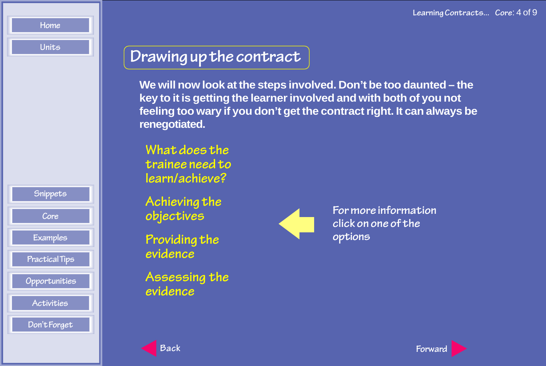<span id="page-6-0"></span>**[Units](#page-0-0)**

**[Snippets](#page-1-0)**

**[Core](#page-3-0) [Examples](#page-12-0) [Practical Tips](#page-13-0)**

 **[Opportunities](#page-16-0) [Activities](#page-20-0) [Don't Forget](#page-22-0)**

## **Drawing up the contract**

**We will now look at the steps involved. Don't be too daunted – the key to it is getting the learner involved and with both of you not feeling too wary if you don't get the contract right. It can always be renegotiated.**

**What does the [trainee need to](#page-7-0) learn/achieve?**

**[Achieving the](#page-8-0) objectives**

**[Providing the](#page-9-0) evidence**

**[Assessing the](#page-10-0) evidence**



**For more information click on one of the options**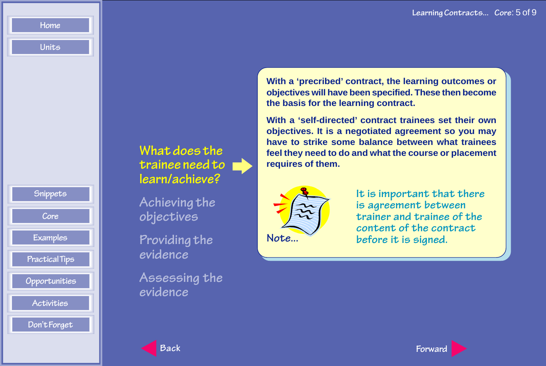

<span id="page-7-0"></span>**[Units](#page-0-0)**

**What does the trainee need to learn/achieve?**

**[Achieving the](#page-8-0) objectives**

**[Providing the](#page-9-0) evidence**

**[Assessing the](#page-10-0) evidence**

**With a 'precribed' contract, the learning outcomes or objectives will have been specified. These then become the basis for the learning contract.**

**With a 'self-directed' contract trainees set their own objectives. It is a negotiated agreement so you may have to strike some balance between what trainees feel they need to do and what the course or placement requires of them.**



**It is important that there is agreement between trainer and trainee of the content of the contract before it is signed.**

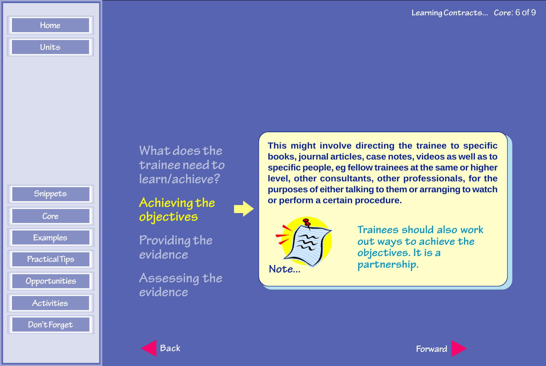**[Snippets](#page-1-0) [Core](#page-3-0) [Examples](#page-12-0) [Practical Tips](#page-13-0)  [Opportunities](#page-16-0) [Activities](#page-20-0) [Don't Forget](#page-22-0)**

<span id="page-8-0"></span>**[Home](ti_index.htm)**

**[Units](#page-0-0)**

**What does the [trainee need to](#page-7-0) learn/achieve?**

**Achieving the objectives**

**[Providing the](#page-9-0) evidence**

**[Assessing the](#page-10-0) evidence**

**This might involve directing the trainee to specific books, journal articles, case notes, videos as well as to specific people, eg fellow trainees at the same or higher level, other consultants, other professionals, for the purposes of either talking to them or arranging to watch or perform a certain procedure.**



**Trainees should also work out ways to achieve the objectives. It is a partnership.**

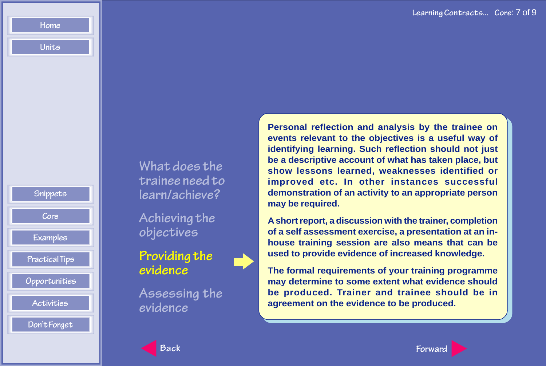**[Snippets](#page-1-0) [Core](#page-3-0) [Examples](#page-12-0) [Practical Tips](#page-13-0)  [Opportunities](#page-16-0) [Activities](#page-20-0) [Don't Forget](#page-22-0)**

<span id="page-9-0"></span>**[Home](ti_index.htm) [Units](#page-0-0)**

> **What does the [trainee need to](#page-7-0) learn/achieve?**

**[Achieving the](#page-8-0) objectives**

**Providing the evidence**

**[Assessing the](#page-10-0) evidence**

**Personal reflection and analysis by the trainee on events relevant to the objectives is a useful way of identifying learning. Such reflection should not just be a descriptive account of what has taken place, but show lessons learned, weaknesses identified or improved etc. In other instances successful demonstration of an activity to an appropriate person may be required.**

**A short report, a discussion with the trainer, completion of a self assessment exercise, a presentation at an inhouse training session are also means that can be used to provide evidence of increased knowledge.**

**The formal requirements of your training programme may determine to some extent what evidence should be produced. Trainer and trainee should be in agreement on the evidence to be produced.**



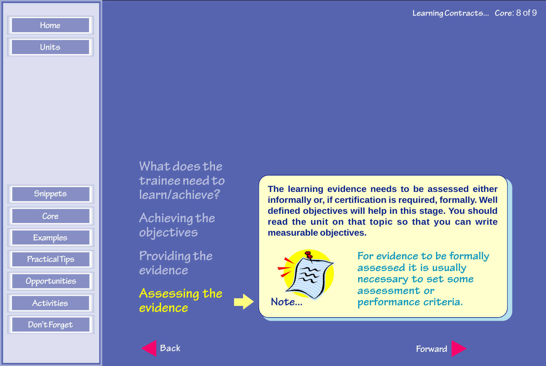**Learning Contracts... Core**: 8 of 9



<span id="page-10-0"></span>**[Home](ti_index.htm)**

**[Units](#page-0-0)**

**What does the [trainee need to](#page-7-0) learn/achieve?**

**[Achieving the](#page-8-0) objectives**

**[Providing the](#page-9-0) evidence**

**Assessing the evidence Note...**

**The learning evidence needs to be assessed either informally or, if certification is required, formally. Well defined objectives will help in this stage. You should read the unit on that topic so that you can write measurable objectives.**



**For evidence to be formally assessed it is usually necessary to set some assessment or performance criteria.**

**[Back](#page-9-0) [Forward](#page-11-0)**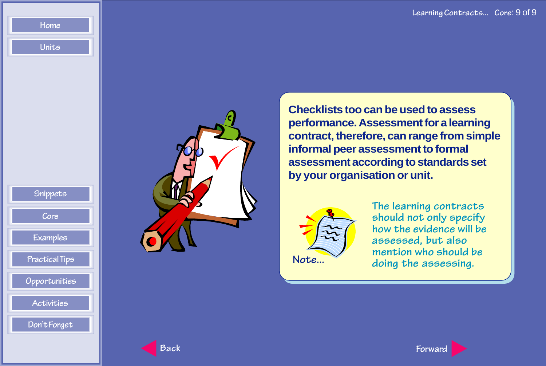**[Snippets](#page-1-0) [Core](#page-3-0) [Examples](#page-12-0) [Practical Tips](#page-13-0)  [Opportunities](#page-16-0) [Activities](#page-20-0) [Don't Forget](#page-22-0)**

<span id="page-11-0"></span>**[Home](ti_index.htm)**

**[Units](#page-0-0)**



**Checklists too can be used to assess performance. Assessment for a learning contract, therefore, can range from simple informal peer assessment to formal assessment according to standards set by your organisation or unit.**



**The learning contracts should not only specify how the evidence will be assessed, but also mention who should be** Note... **a** doing the assessing.

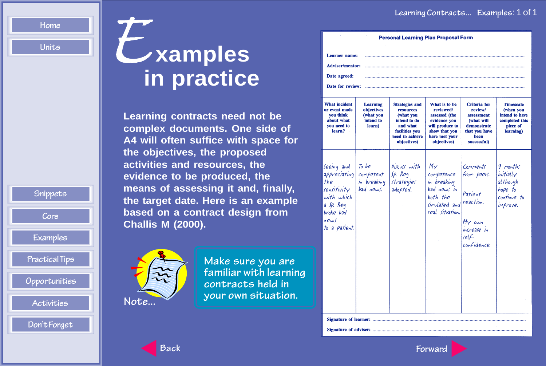# <span id="page-12-0"></span>Home **Examples in practice**

**Learning contracts need not be complex documents. One side of A4 will often suffice with space for the objectives, the proposed activities and resources, the evidence to be produced, the means of assessing it and, finally, the target date. Here is an example based on a contract design from Challis M (2000).**



| Note |  |
|------|--|

**Make sure you are familiar with learning contracts held in your own situation.**

| <b>Personal Learning Plan Proposal Form</b>                                                                       |                                                            |                                                                                                                                 |                                                                                                                                 |                                                                                                            |                                                                                            |  |
|-------------------------------------------------------------------------------------------------------------------|------------------------------------------------------------|---------------------------------------------------------------------------------------------------------------------------------|---------------------------------------------------------------------------------------------------------------------------------|------------------------------------------------------------------------------------------------------------|--------------------------------------------------------------------------------------------|--|
| Learner name:<br><b>Adviser/mentor:</b><br>Date agreed:<br>Date for review:                                       |                                                            |                                                                                                                                 |                                                                                                                                 |                                                                                                            |                                                                                            |  |
| <b>What incident</b><br>or event made<br><b>vou think</b><br>about what<br>vou need to<br>learn?                  | Learning<br>objectives<br>(what you<br>intend to<br>learn) | <b>Strategies and</b><br>resources<br>(what you<br>intend to do<br>and what<br>facilities vou<br>need to achieve<br>objectives) | What is to be<br>reviewed/<br>assessed (the<br>evidence you<br>will produce to<br>show that you<br>have met your<br>objectives) | Criteria for<br>review/<br>assessment<br>(what will<br>demonstrate<br>that you have<br>been<br>successful) | <b>Timescale</b><br>(when you<br>intend to have<br>completed this<br>piece of<br>learning) |  |
| Seeing and<br>appreciating<br>the<br>sensitivity<br>with which<br>a Sp. Req<br>broke bad<br>news<br>to a patient. | To be<br>competent<br>in breaking<br>$bad$ news.           | Discuss with<br>$sp.$ $Rep.$<br>strategies<br>adopted.                                                                          | $M_{\gamma}$<br>competence<br>in breaking<br>bad news in<br>both the<br>simulated and<br>real situation.                        | Comments<br>from peers.<br>Patient<br>reaction.<br>My own<br>increase in<br>$relf-$<br>confidence.         | 9 months<br>initially<br>althovgh<br>hope to<br>continue to<br>improve.                    |  |
| Signature of learner:<br>Signature of adviser:                                                                    |                                                            |                                                                                                                                 |                                                                                                                                 |                                                                                                            |                                                                                            |  |

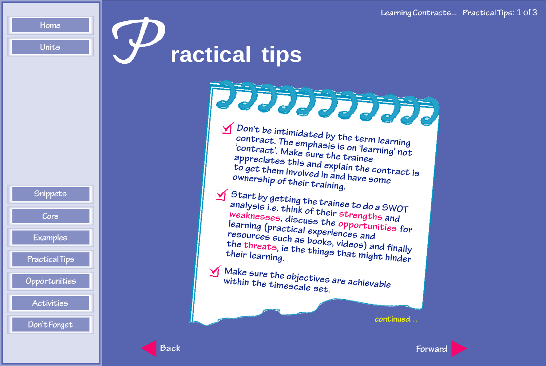<span id="page-13-0"></span>**[Units](#page-0-0)**

# P**ractical tips**



**Don't be intimidated by the term learning contract. The emphasis is on 'learning' not 'contract'. Make sure the tr appreciates this and explain the contract is** contract'. Make sure the trainee **to get them involved in and have some ownership of their training. Start by getting the trainee to do a SWOT analysis i.e. think of their strengths and weaknesses, discuss the opportunities for resources such as books, videos) and finally the threats, ie the things that might hinder their learning. Make sure the objectives are achievable within the timescale set.**

**continued. . .**



**[Back](#page-12-0) [Forward](#page-14-0)**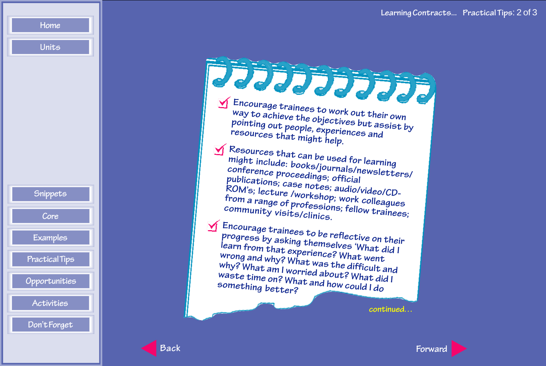

<span id="page-14-0"></span>**[Units](#page-0-0)**

| 77777777                                                                                                                                                                                                                                                                                                    |  |
|-------------------------------------------------------------------------------------------------------------------------------------------------------------------------------------------------------------------------------------------------------------------------------------------------------------|--|
| $\sum$ Encourage trainees to work out their own<br>way to achieve the objectives but assist by<br>pointing out people, experiences and<br>resources that might help.                                                                                                                                        |  |
| $\bigvee$ Resources that can be used for learning<br>might include: books/journals/newsletters/<br>conference proceedings; official<br>publications; case notes; audio/video/CD-<br>ROM's; lecture /workshop; work colleagues<br>from a range of professions; fellow trainees;<br>community visits/clinics. |  |
| $\sum$ Encourage trainees to be reflective on their<br>progress by asking themselves 'What did I<br>learn from that experience? What went<br>wrong and why? What was the difficult and<br>why? What am I worried about? What did I<br>waste time on? What and how could I do<br>something better?           |  |
| continued                                                                                                                                                                                                                                                                                                   |  |

**[Back](#page-13-0) [Forward](#page-15-0)**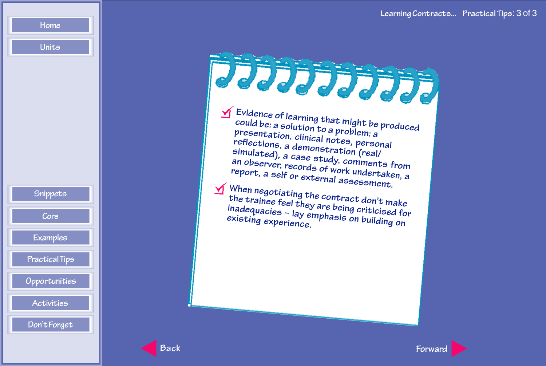

<span id="page-15-0"></span>**[Units](#page-0-0)**

| JJJJJJJJJJ                                                                                                                                                                                                                                                                                                                                                                                                                                                                                   |
|----------------------------------------------------------------------------------------------------------------------------------------------------------------------------------------------------------------------------------------------------------------------------------------------------------------------------------------------------------------------------------------------------------------------------------------------------------------------------------------------|
| $\sum$ Evidence of learning that might be produced<br>could be: a solution to a problem; a<br>presentation, clinical notes, personal<br>reflections, a demonstration (real/<br>simulated), a case study, comments from<br>an observer, records of work undertaken, a<br>report, a self or external assessment.<br>$\bigvee$ When negotiating the contract don't make<br>the trainee feel they are being criticised for<br>inadequacies - lay emphasis on building on<br>existing experience. |
|                                                                                                                                                                                                                                                                                                                                                                                                                                                                                              |



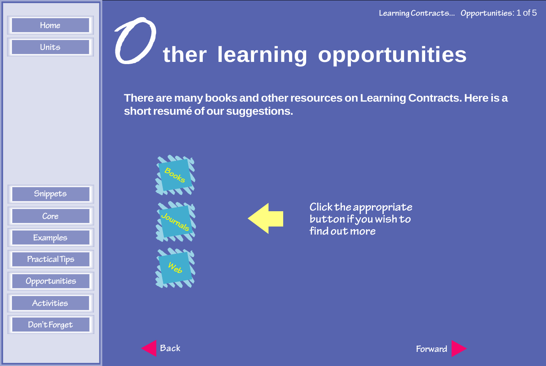# <span id="page-16-0"></span>**[Units](#page-0-0) Contain Contains Contains Contains Contains Contains Contains Contains Contains Contains Contains Contains Contains Contains Contains Contains Contains Contains Contains Contains Contains Contains Contains Contains**

**There are many books and other resources on Learning Contracts. Here is a short resumé of our suggestions.**





**Click the appropriate button if you wish to find out more**



**[Journals](#page-18-0)**

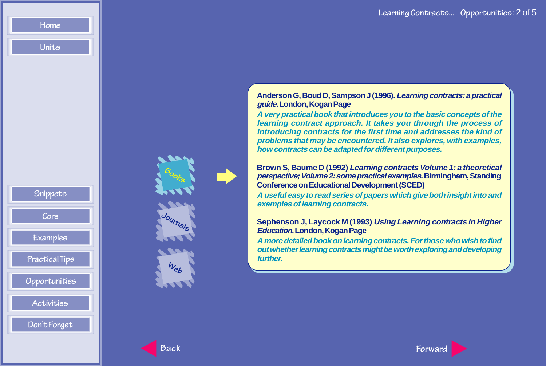### **Anderson G, Boud D, Sampson J (1996). Learning contracts: a practical guide. London, Kogan Page**

**A very practical book that introduces you to the basic concepts of the learning contract approach. It takes you through the process of introducing contracts for the first time and addresses the kind of problems that may be encountered. It also explores, with examples, how contracts can be adapted for different purposes.**

**Brown S, Baume D (1992) Learning contracts Volume 1: a theoretical perspective; Volume 2: some practical examples. Birmingham, Standing Conference on Educational Development (SCED)**

**A useful easy to read series of papers which give both insight into and examples of learning contracts.**

### **Sephenson J, Laycock M (1993) Using Learning contracts in Higher Education. London, Kogan Page**

**A more detailed book on learning contracts. For those who wish to find out whether learning contracts might be worth exploring and developing further.**



**[Journals](#page-18-0)**

**[Web](#page-19-0)**

**[Snippets](#page-1-0)**

<span id="page-17-0"></span>**[Home](ti_index.htm)**

**[Units](#page-0-0)**

**[Core](#page-3-0) [Examples](#page-12-0) [Practical Tips](#page-13-0)**

 **[Opportunities](#page-16-0) [Activities](#page-20-0) [Don't Forget](#page-22-0)**

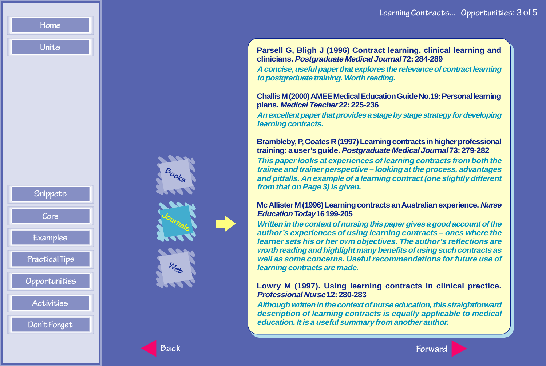**[Snippets](#page-1-0) [Core](#page-3-0) [Examples](#page-12-0) [Practical Tips](#page-13-0)  [Opportunities](#page-16-0) [Activities](#page-20-0) [Don't Forget](#page-22-0)**

<span id="page-18-0"></span>**[Home](ti_index.htm)**

**[Units](#page-0-0)**



**Parsell G, Bligh J (1996) Contract learning, clinical learning and clinicians. Postgraduate Medical Journal 72: 284-289**

**A concise, useful paper that explores the relevance of contract learning to postgraduate training. Worth reading.**

**Challis M (2000) AMEE Medical Education Guide No.19: Personal learning plans. Medical Teacher 22: 225-236**

**An excellent paper that provides a stage by stage strategy for developing learning contracts.**

### **Brambleby, P, Coates R (1997) Learning contracts in higher professional training: a user 's guide. Postgraduate Medical Journal 73: 279-282**

**This paper looks at experiences of learning contracts from both the trainee and trainer perspective – looking at the process, advantages and pitfalls. An example of a learning contract (one slightly different from that on Page 3) is given.**

### **Mc Allister M (1996) Learning contracts an Australian experience. Nurse Education Today 16 199-205**

**Written in the context of nursing this paper gives a good account of the author 's experiences of using learning contracts – ones where the learner sets his or her own objectives. The author 's reflections are worth reading and highlight many benefits of using such contracts as well as some concerns. Useful recommendations for future use of learning contracts are made.**

### **Lowry M (1997). Using learning contracts in clinical practice. Professional Nurse 12: 280-283**

**Although written in the context of nurse education, this straightforward description of learning contracts is equally applicable to medical education. It is a useful summary from another author.**

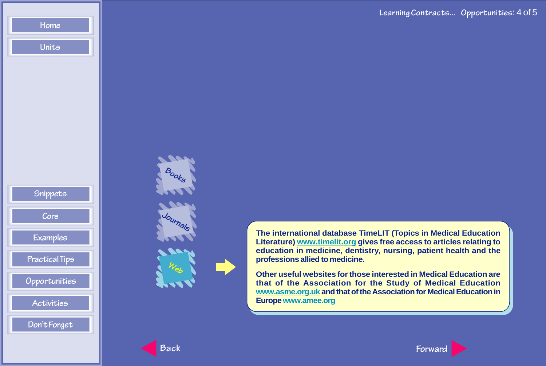

<span id="page-19-0"></span>**[Home](ti_index.htm) [Units](#page-0-0)**



**The international database TimeLIT (Topics in Medical Education Literature) [www.timelit.org g](http://www.timelit.org/)ives free access to articles relating to education in medicine, dentistry, nursing, patient health and the professions allied to medicine.**

**Other useful websites for those interested in Medical Education are that of the Association for the Study of Medical Education [www.asme.org.uk a](http://www.asme.org.uk/)nd that of the Association for Medical Education in Europ[e www.amee.org](http://www.amee.org.uk/)**



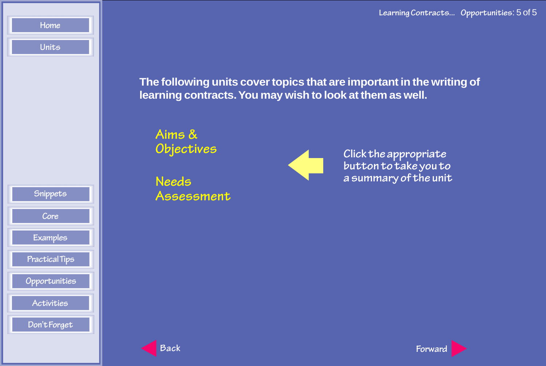**The following units cover topics that are important in the writing of learning contracts. You may wish to look at them as well.**

**Aims & Objectives**

**Needs [Assessment](#page-1-0)**



**Click the appropriate button to take you to a summary of the unit**

**[Snippets](#page-1-0)**

<span id="page-20-0"></span>**[Home](ti_index.htm) [Units](#page-0-0)**

**[Core](#page-3-0) [Examples](#page-12-0) [Practical Tips](#page-13-0)**

 **[Opportunities](#page-16-0)**

**Activities [Don't Forget](#page-22-0)**

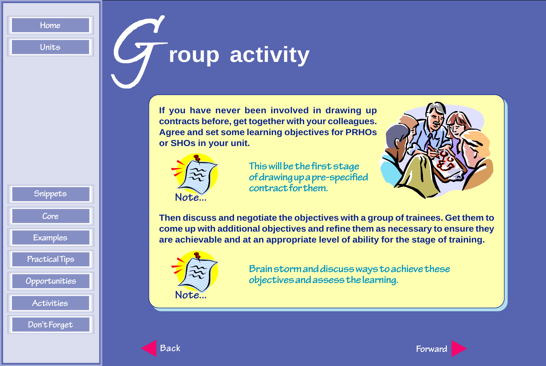**[Snippets](#page-1-0)**

**[Core](#page-3-0) [Examples](#page-12-0) [Practical Tips](#page-13-0)  [Opportunities](#page-16-0) [Activities](#page-20-0) [Don't Forget](#page-22-0)**

## <span id="page-21-0"></span>**[Units](#page-0-0) Group activity**

**If you have never been involved in drawing up contracts before, get together with your colleagues. Agree and set some learning objectives for PRHOs or SHOs in your unit.**



**This will be the first stage of drawing up a pre-specified contract for them.**



**Then discuss and negotiate the objectives with a group of trainees. Get them to come up with additional objectives and refine them as necessary to ensure they are achievable and at an appropriate level of ability for the stage of training.**



**Brain storm and discuss ways to achieve these objectives and assess the learning.**